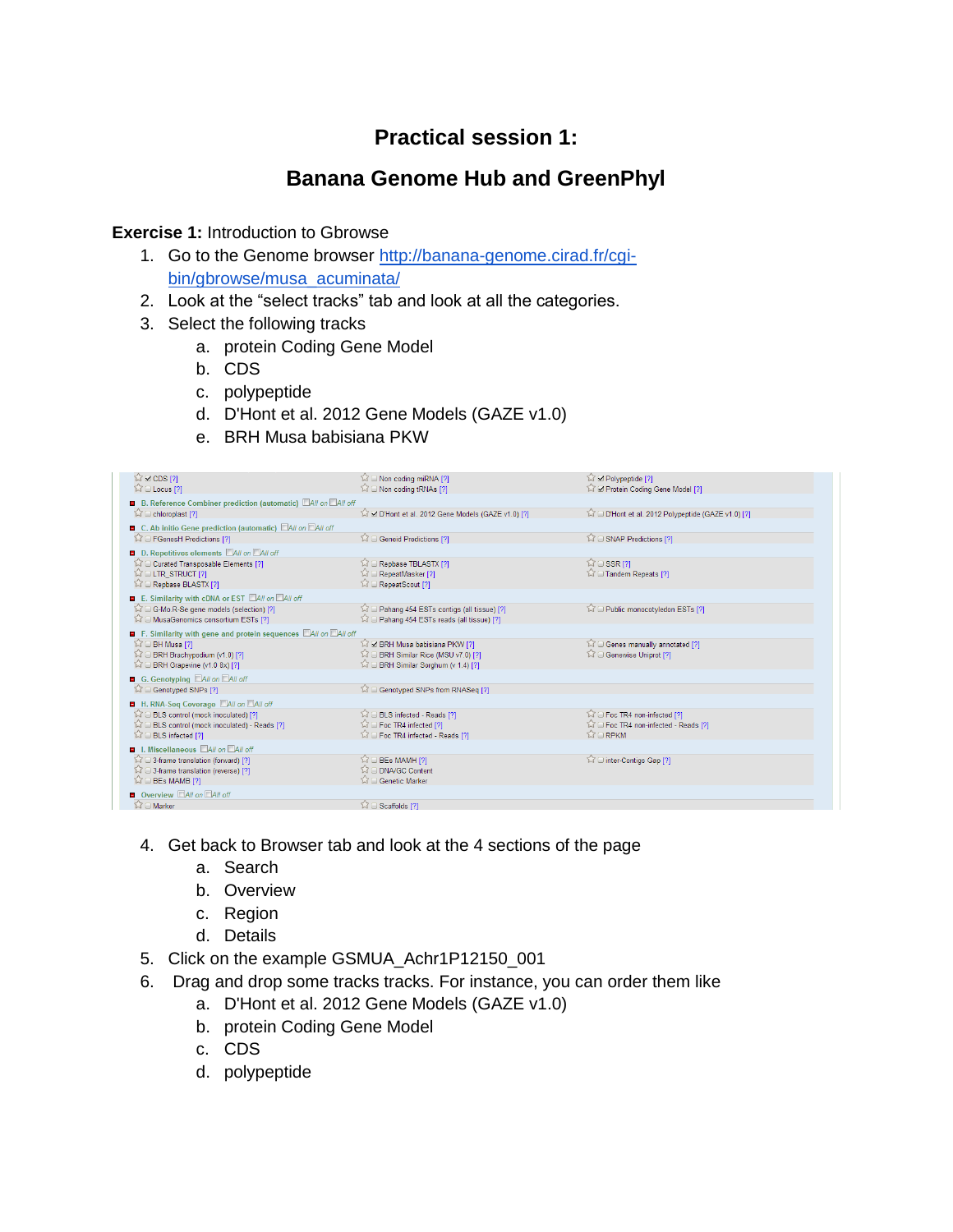# **Practical session 1:**

# **Banana Genome Hub and GreenPhyl**

#### **Exercise 1: Introduction to Gbrowse**

- 1. Go to the Genome browser [http://banana-genome.cirad.fr/cgi](http://banana-genome.cirad.fr/cgi-bin/gbrowse/musa_acuminata/)[bin/gbrowse/musa\\_acuminata/](http://banana-genome.cirad.fr/cgi-bin/gbrowse/musa_acuminata/)
- 2. Look at the "select tracks" tab and look at all the categories.
- 3. Select the following tracks
	- a. protein Coding Gene Model
	- b. CDS
	- c. polypeptide
	- d. D'Hont et al. 2012 Gene Models (GAZE v1.0)
	- e. BRH Musa babisiana PKW

| $\sqrt{2}$ $\times$ CDS [?]<br>☆□ Locus [?]                                              | $\widehat{\downarrow}$ $\widehat{\downarrow}$ Non coding miRNA [?]<br>ি i Non coding tRNAs [?] | ম M Polypeptide [?]<br>Si & Protein Coding Gene Model [?] |
|------------------------------------------------------------------------------------------|------------------------------------------------------------------------------------------------|-----------------------------------------------------------|
| <b>B</b> B. Reference Combiner prediction (automatic) <b>All on MAII off</b>             |                                                                                                |                                                           |
| ☆ □ chloroplast [?]                                                                      | D'Hont et al. 2012 Gene Models (GAZE v1.0) [?]                                                 | D'Hont et al. 2012 Polypeptide (GAZE v1.0) [?]            |
| C. Ab initio Gene prediction (automatic) <b>All on All off</b>                           |                                                                                                |                                                           |
| 57<br>FGenesH Predictions [?]                                                            | 17 □ Geneid Predictions [?]                                                                    | 17 □ SNAP Predictions [?]                                 |
| D. Repetitives elements <b>DAII</b> on DAII off                                          |                                                                                                |                                                           |
| Curated Transposable Elements [?]                                                        | Repbase TBLASTX [?]                                                                            | $\widehat{M} \square$ SSR [?]                             |
| $\widehat{K}$ $\widehat{C}$ LTR STRUCT [?]<br><b>NO Repbase BLASTX [?]</b>               | 12 D RepeatMasker [?]<br>I RepeatScout [?]                                                     | 12 D Tandem Repeats [?]                                   |
| E. Similarity with cDNA or EST MAII on MAII off                                          |                                                                                                |                                                           |
| G-Mo.R-Se gene models (selection) [?]                                                    | 17] Pahang 454 ESTs contigs (all tissue) [7]                                                   | Public monocotyledon ESTs [?]                             |
| MusaGenomics consortium ESTs [?]                                                         | 17] Pahang 454 ESTs reads (all tissue) [?]                                                     |                                                           |
| F. Similarity with gene and protein sequences <b>EAII</b> on EAII off                    |                                                                                                |                                                           |
| 23<br>BH Musa [?]                                                                        | 17 Ø BRH Musa babisiana PKW [?]                                                                | Genes manually annotated [?]                              |
| 57C<br>BRH Brachypodium (v1.0) [?]                                                       | G BRH Similar Rice (MSU v7.0) [?]                                                              | 17 □ Genewise Uniprot [?]                                 |
| 53<br>BRH Grapevine (v1.0 8x) [?]                                                        | $\widehat{\bowtie}$ $\boxdot$ BRH Similar Sorghum (v 1.4) [?]                                  |                                                           |
| G. Genotyping <b>All on All off</b>                                                      |                                                                                                |                                                           |
| Genotyped SNPs [?]<br>53                                                                 | Genotyped SNPs from RNASeq [?]                                                                 |                                                           |
| H. RNA-Seq Coverage MAII on MAII off                                                     |                                                                                                |                                                           |
| BLS control (mock inoculated) [?]<br>57                                                  | <b>SOLS</b> infected - Reads [?]                                                               | 12 D Foc TR4 non-infected [?]                             |
| 53<br>BLS control (mock inoculated) - Reads [?]<br><b>BLS</b> infected [?]               | $\widehat{\bowtie}$ $\boxdot$ Foc TR4 infected [?]<br>To Foc TR4 infected - Reads [?]          | For TR4 non-infected - Reads [?]<br><b>MORPKM</b>         |
|                                                                                          |                                                                                                |                                                           |
| <b>E</b> I. Miscellaneous <b>All on</b> All off<br>17] 3-frame translation (forward) [?] | <b>BEs MAMH [?]</b>                                                                            | 12 = inter-Contigs Gap [?]                                |
| ○ 3-frame translation (reverse) [?]                                                      | DNA/GC Content                                                                                 |                                                           |
| BEs MAMB [?]                                                                             | Genetic Marker                                                                                 |                                                           |
| <b>D</b> Overview <b>All on All off</b>                                                  |                                                                                                |                                                           |
| 公 O Marker                                                                               | ☆ □ Scaffolds [?]                                                                              |                                                           |

- 4. Get back to Browser tab and look at the 4 sections of the page
	- a. Search
	- b. Overview
	- c. Region
	- d. Details
- 5. Click on the example GSMUA\_Achr1P12150\_001
- 6. Drag and drop some tracks tracks. For instance, you can order them like
	- a. D'Hont et al. 2012 Gene Models (GAZE v1.0)
	- b. protein Coding Gene Model
	- c. CDS
	- d. polypeptide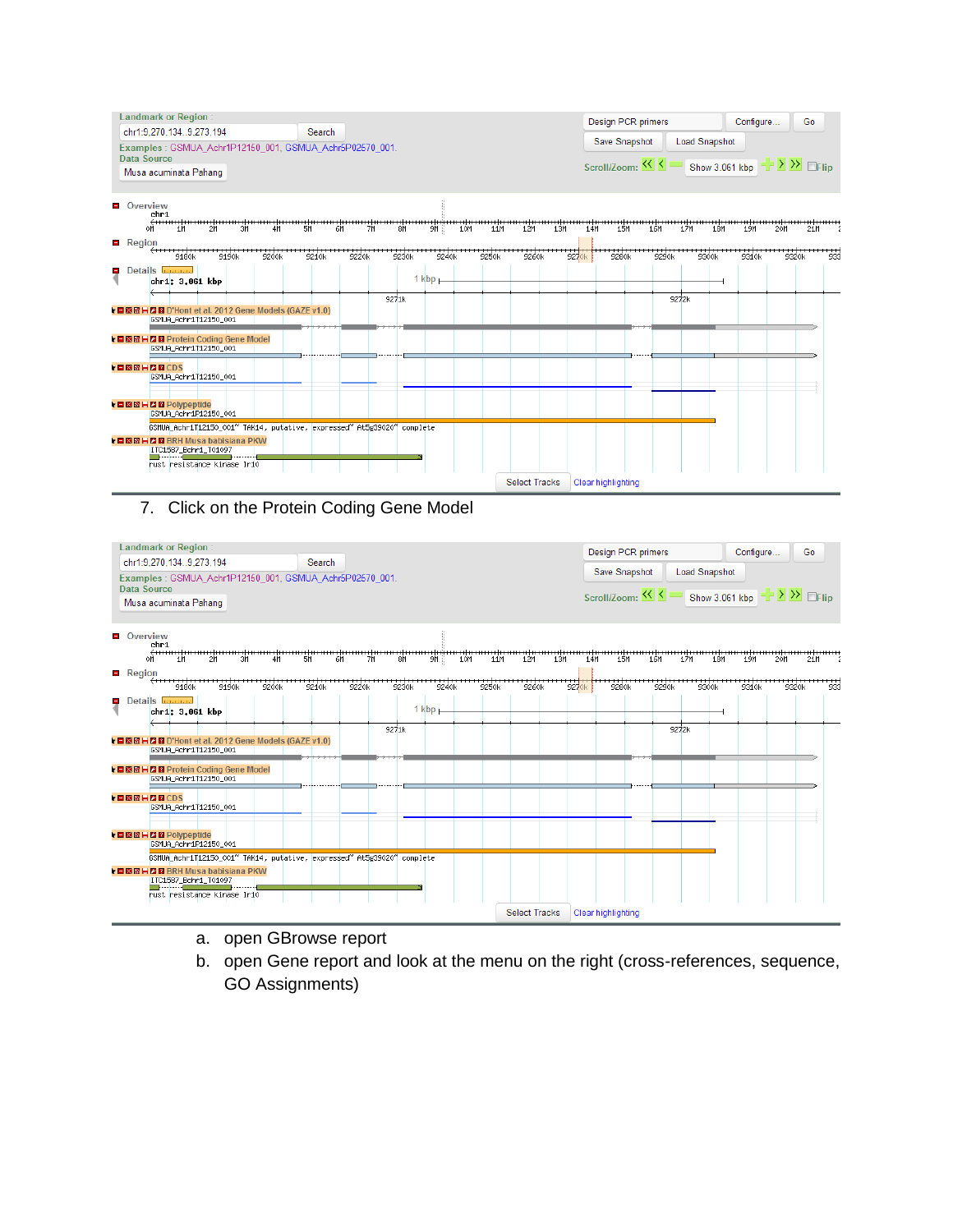

#### 7. Click on the Protein Coding Gene Model



- a. open GBrowse report
- b. open Gene report and look at the menu on the right (cross-references, sequence, GO Assignments)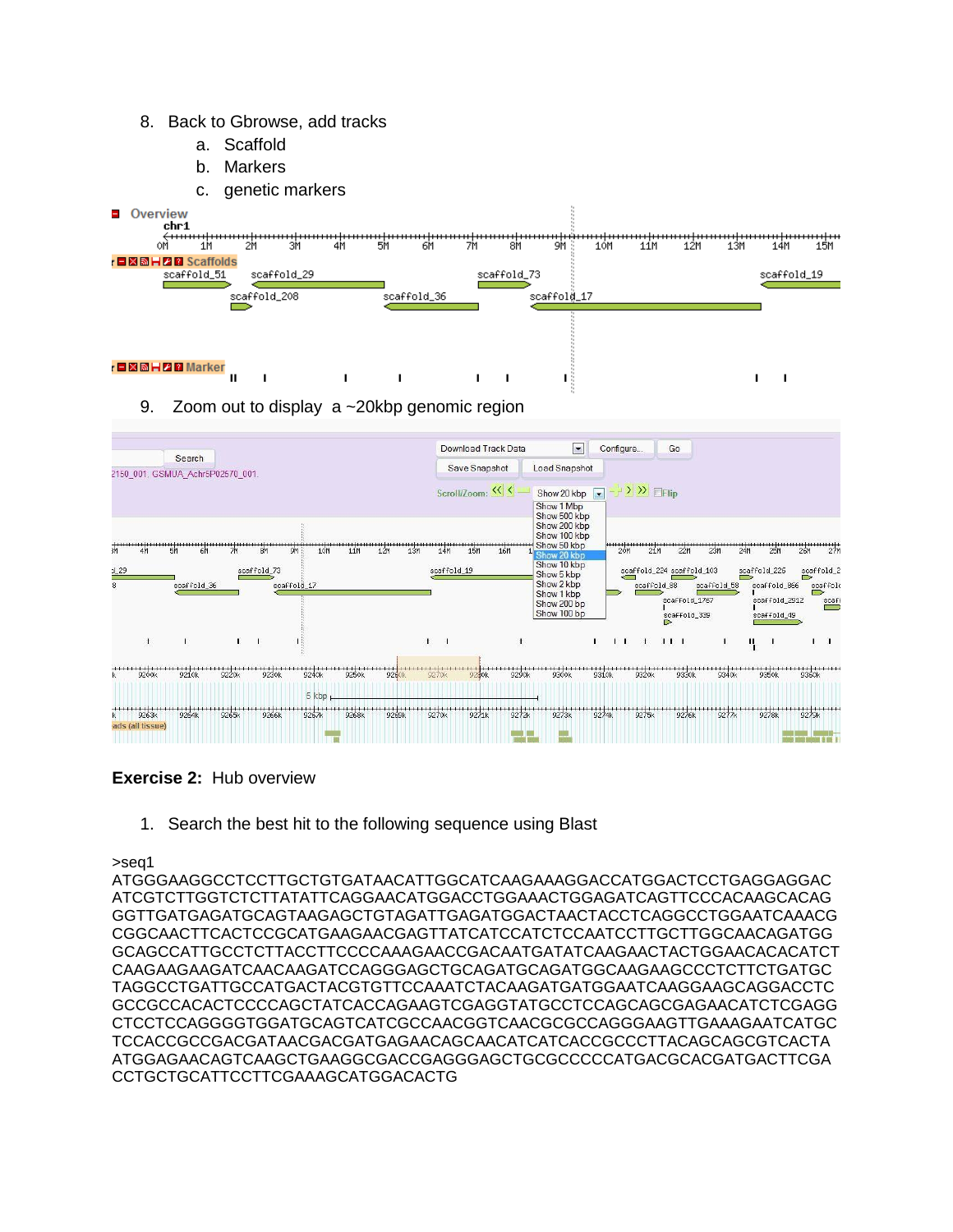- 8. Back to Gbrowse, add tracks
	- a. Scaffold
	- b. Markers
	- c. genetic markers



9. Zoom out to display a ~20kbp genomic region



**Exercise 2:** Hub overview

1. Search the best hit to the following sequence using Blast

>seq1

ATGGGAAGGCCTCCTTGCTGTGATAACATTGGCATCAAGAAAGGACCATGGACTCCTGAGGAGGAC ATCGTCTTGGTCTCTTATATTCAGGAACATGGACCTGGAAACTGGAGATCAGTTCCCACAAGCACAG GGTTGATGAGATGCAGTAAGAGCTGTAGATTGAGATGGACTAACTACCTCAGGCCTGGAATCAAACG CGGCAACTTCACTCCGCATGAAGAACGAGTTATCATCCATCTCCAATCCTTGCTTGGCAACAGATGG GCAGCCATTGCCTCTTACCTTCCCCAAAGAACCGACAATGATATCAAGAACTACTGGAACACACATCT CAAGAAGAAGATCAACAAGATCCAGGGAGCTGCAGATGCAGATGGCAAGAAGCCCTCTTCTGATGC TAGGCCTGATTGCCATGACTACGTGTTCCAAATCTACAAGATGATGGAATCAAGGAAGCAGGACCTC GCCGCCACACTCCCCAGCTATCACCAGAAGTCGAGGTATGCCTCCAGCAGCGAGAACATCTCGAGG CTCCTCCAGGGGTGGATGCAGTCATCGCCAACGGTCAACGCGCCAGGGAAGTTGAAAGAATCATGC TCCACCGCCGACGATAACGACGATGAGAACAGCAACATCATCACCGCCCTTACAGCAGCGTCACTA ATGGAGAACAGTCAAGCTGAAGGCGACCGAGGGAGCTGCGCCCCCATGACGCACGATGACTTCGA CCTGCTGCATTCCTTCGAAAGCATGGACACTG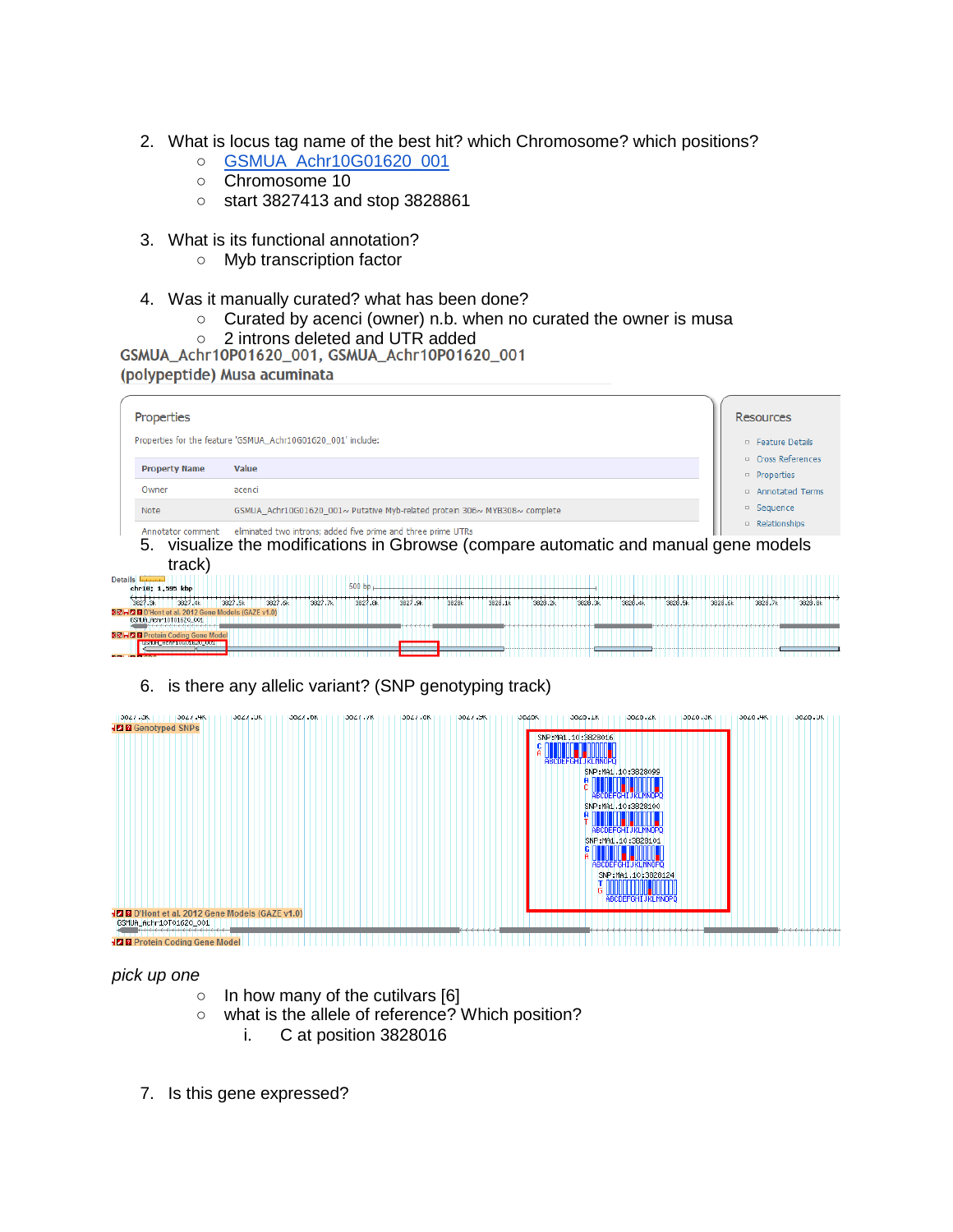- 2. What is locus tag name of the best hit? which Chromosome? which positions?
	- [GSMUA\\_Achr10G01620\\_001](http://banana-genome.cirad.fr/GSMUA_Achr10P01620_001)
	- Chromosome 10
	- start 3827413 and stop 3828861
- 3. What is its functional annotation?
	- Myb transcription factor
- 4. Was it manually curated? what has been done?
	- Curated by acenci (owner) n.b. when no curated the owner is musa
	-
- O 2 introns deleted and UTR added<br>GSMUA\_Achr10P01620\_001, GSMUA\_Achr10P01620\_001

(polypeptide) Musa acuminata

| Properties                                |                                                                                     | Resources                                          |
|-------------------------------------------|-------------------------------------------------------------------------------------|----------------------------------------------------|
|                                           | Properties for the feature 'GSMUA Achr10G01620 001' include:                        | $\Box$ Feature Details                             |
| <b>Property Name</b>                      | Value                                                                               | $\Box$ Cross References<br><sup>D</sup> Properties |
| Owner                                     | acenci                                                                              | <sup>D</sup> Annotated Terms                       |
| Note                                      | GSMUA Achr10G01620 001~ Putative Myb-related protein 306~ MYB308~ complete          | Sequence<br>$\Box$                                 |
| Annotator comment                         | eliminated two introns; added five prime and three prime UTRs                       | <sup>D</sup> Relationships                         |
|                                           | 5. visualize the modifications in Gbrowse (compare automatic and manual gene models |                                                    |
| track)                                    |                                                                                     |                                                    |
| Details <b>Lucius</b><br>chr10: 1.595 kbp | $500$ bb                                                                            |                                                    |

| chr10: 1,595 kbp                                  |                                                        |         |         | <b>SUU DD</b> |          |       |         |                                                                                          |         |         |         |         |         |         |
|---------------------------------------------------|--------------------------------------------------------|---------|---------|---------------|----------|-------|---------|------------------------------------------------------------------------------------------|---------|---------|---------|---------|---------|---------|
| 3827.3k                                           | 3827.4k<br>3827.5k                                     | 3827.6k | 3827.7k | 3827.8k       | 3827.9k  | 3828k | 3828.1k | 3828.2k                                                                                  | 3828.3k | 3828.4k | 3828.5k | 3828.6k | 3828.7k | 3828.8k |
| 3 MHZ BD'Hont et al. 2012 Gene Models (GAZE v1.0) |                                                        |         |         |               |          |       |         |                                                                                          |         |         |         |         |         |         |
| GSMUA_Achr10T01620_001                            | ,,,,,,,,,,,,,,,,,,,,,,,,,,,,                           |         |         |               | ________ |       |         |                                                                                          |         |         |         |         |         |         |
| 图图出现                                              | Protein Coding Gene Model                              |         |         |               |          |       |         |                                                                                          |         |         |         |         |         |         |
|                                                   | <b>INSTITUTION CONTINUES OF SALE AND INTERNATIONAL</b> |         |         |               |          |       |         | dia alamin'ny fivondronan-kaominin'i Grand Europe et ao amin'ny fivondronan-kaominin'i G |         |         |         |         |         |         |
| <b>Branch</b>                                     |                                                        |         |         |               |          |       |         |                                                                                          |         |         |         |         |         |         |

6. is there any allelic variant? (SNP genotyping track)



*pick up one*

- $\circ$  In how many of the cutilvars [6]
- what is the allele of reference? Which position?
	- i. C at position 3828016
- 7. Is this gene expressed?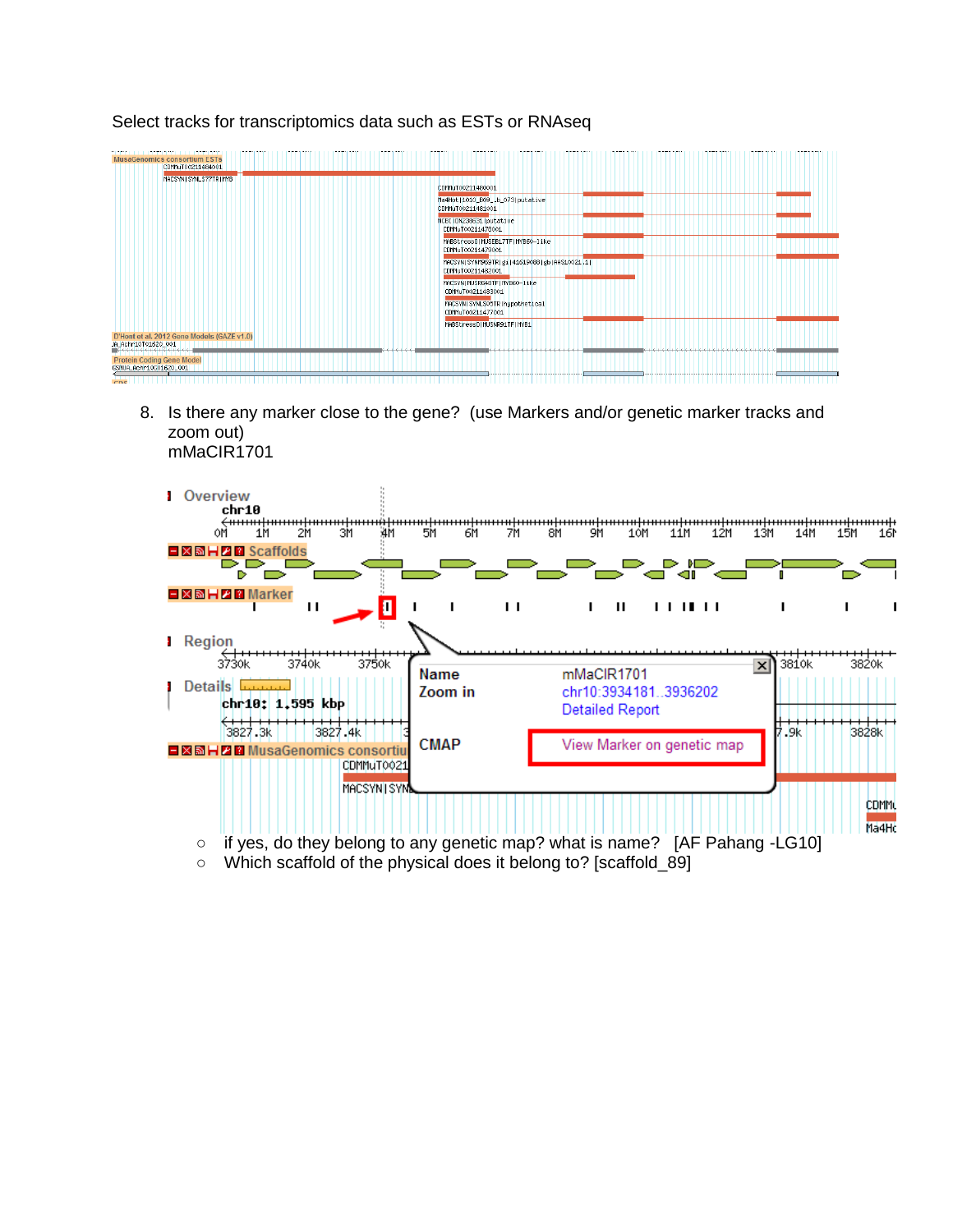#### S CONSOrtium ESTS<br>CDMMuT00211484001 MACSYNTSYNLS77TRTMYE CDMMuT00211480001 Ma4Hot11010 B09 .b 073Iputative CDMMuT00211481001 NCBI | DN238631 | putative CDMMuT00211478001 MABStressOIMUSEB17TFIMYB60-like CDMMuT00211479001 MACSYN | SYNM969TR | g1 | 41619088 | gb | AAS10021.1| CDMMuT00211482001 MACSYNTMUSRG48TFTMYB60-1ike CDMMuT00211483001 MACSYN|SYNLSO5TR|hypothetical<br>CDMMuT00211477001 MABStressOIMUSNR91TFIMYB1 D'Hont et al. 2012 Gene Models (GAZE v1.0)<br>JA\_ACHT10101620\_001<br>DECHT10101610101010101 **Protein Coding Gene Model** SMUA\_Achr10601620\_001

Select tracks for transcriptomics data such as ESTs or RNAseq

8. Is there any marker close to the gene? (use Markers and/or genetic marker tracks and zoom out) mMaCIR1701

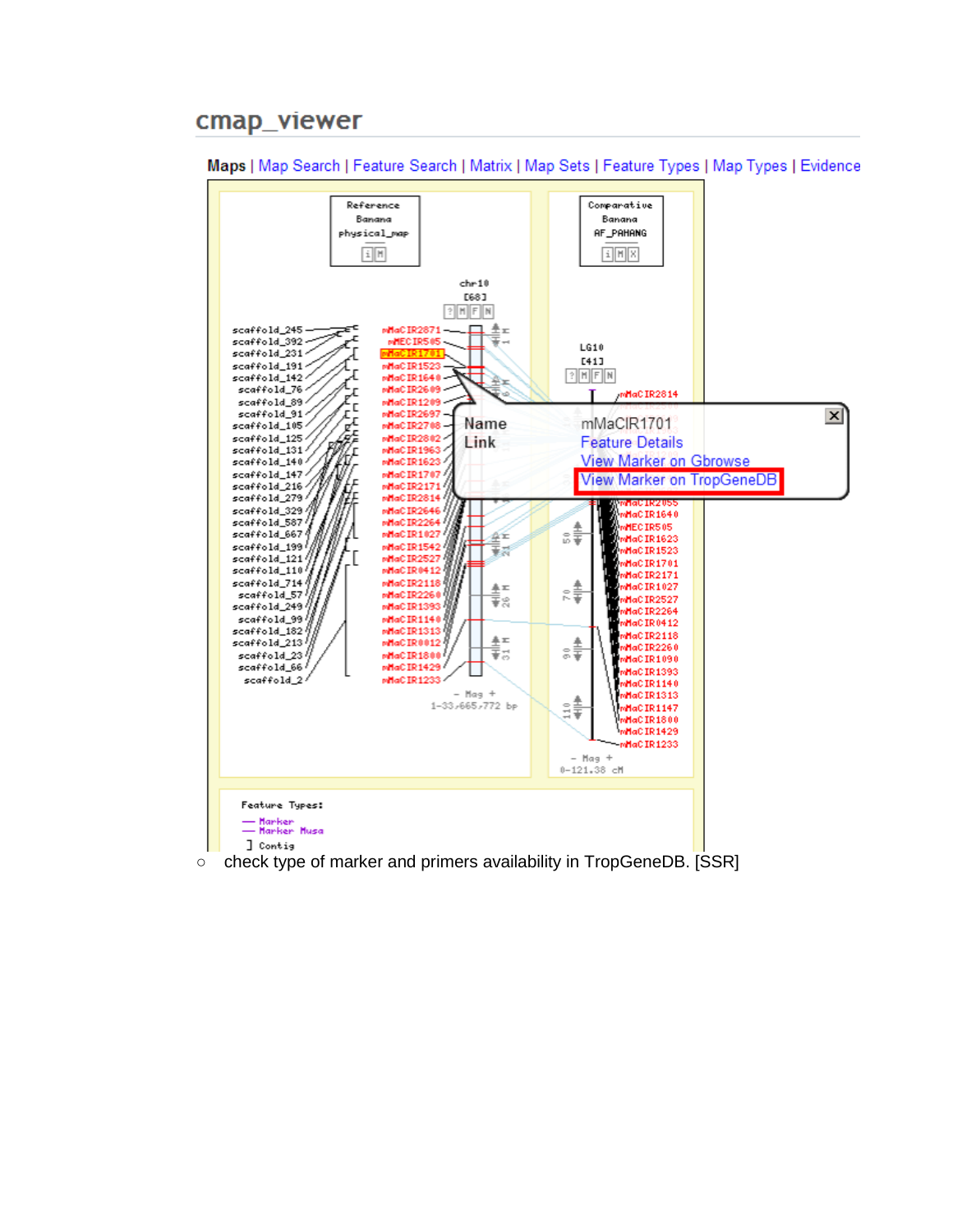# cmap\_viewer



Maps | Map Search | Feature Search | Matrix | Map Sets | Feature Types | Map Types | Evidence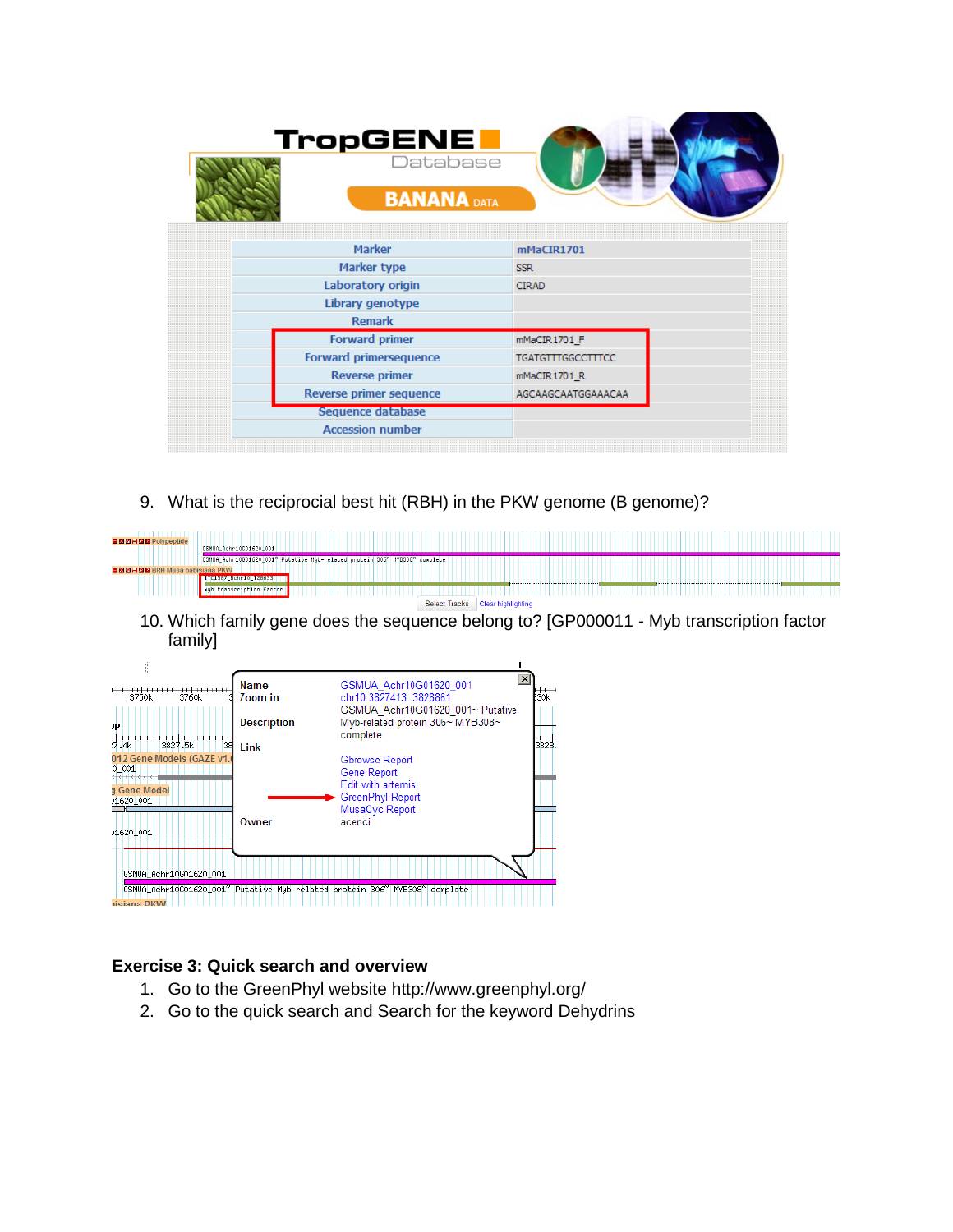| TropGENE<br>Database<br><b>BANANA DATA</b> |                          |  |  |  |
|--------------------------------------------|--------------------------|--|--|--|
|                                            |                          |  |  |  |
| <b>Marker</b>                              | mMaCIR1701               |  |  |  |
|                                            |                          |  |  |  |
| Marker type                                | <b>SSR</b>               |  |  |  |
| Laboratory origin                          | <b>CIRAD</b>             |  |  |  |
| Library genotype                           |                          |  |  |  |
| <b>Remark</b>                              |                          |  |  |  |
| <b>Forward primer</b>                      | mMaCIR1701_F             |  |  |  |
| <b>Forward primersequence</b>              | <b>TGATGTTTGGCCTTTCC</b> |  |  |  |
| <b>Reverse primer</b>                      | mMaCIR1701 R             |  |  |  |
| Reverse primer sequence                    | AGCAAGCAATGGAAACAA       |  |  |  |
| Sequence database                          |                          |  |  |  |
| <b>Accession number</b>                    |                          |  |  |  |
|                                            |                          |  |  |  |

9. What is the reciprocial best hit (RBH) in the PKW genome (B genome)?

| ■図圖HZ图 Polypeptide            |                                                                            |
|-------------------------------|----------------------------------------------------------------------------|
|                               | GSMUA_Achr10G01620_001                                                     |
|                               | GSMUA_Achr10G01620_001" Putative Myb-related protein 306" MYB308" complete |
| 日商商員内商 RRH Musa babisiana PKW |                                                                            |
|                               | <b>BITC1587 BChP10 128633</b>                                              |
|                               | myb transcription factor                                                   |
|                               | Select Tracks Clear highlighting                                           |

10. Which family gene does the sequence belong to? [GP000011 - Myb transcription factor family]

| 3760k<br>3750k                                                                | Name<br>Zoom in    | ×l<br>GSMUA Achr10G01620 001<br>chr10:3827413 3828861<br>B30k                    |  |  |  |  |
|-------------------------------------------------------------------------------|--------------------|----------------------------------------------------------------------------------|--|--|--|--|
| )P                                                                            | <b>Description</b> | GSMUA Achr10G01620 001~ Putative<br>Myb-related protein 306~ MYB308~<br>complete |  |  |  |  |
| 3827.5k<br>7.4k<br>38                                                         | Link               | 3828                                                                             |  |  |  |  |
| 012 Gene Models (GAZE v1.                                                     |                    | Gbrowse Report                                                                   |  |  |  |  |
| $0 - 001$                                                                     |                    | Gene Report                                                                      |  |  |  |  |
| a Gene Model                                                                  |                    | Edit with artemis                                                                |  |  |  |  |
| 01620_001                                                                     |                    | GreenPhyl Report                                                                 |  |  |  |  |
|                                                                               |                    | MusaCyc Report                                                                   |  |  |  |  |
|                                                                               | Owner              | acenci                                                                           |  |  |  |  |
| 01620 001                                                                     |                    |                                                                                  |  |  |  |  |
|                                                                               |                    |                                                                                  |  |  |  |  |
|                                                                               |                    |                                                                                  |  |  |  |  |
| GSMUA_Achr10G01620_001                                                        |                    |                                                                                  |  |  |  |  |
| GSMUA_Achr10G01620_001" Putative Myb-related protein 306" MYB308"<br>complete |                    |                                                                                  |  |  |  |  |
| <b>Nisiana DKW</b>                                                            |                    |                                                                                  |  |  |  |  |

# **Exercise 3: Quick search and overview**

- 1. Go to the GreenPhyl website<http://www.greenphyl.org/>
- 2. Go to the quick search and Search for the keyword Dehydrins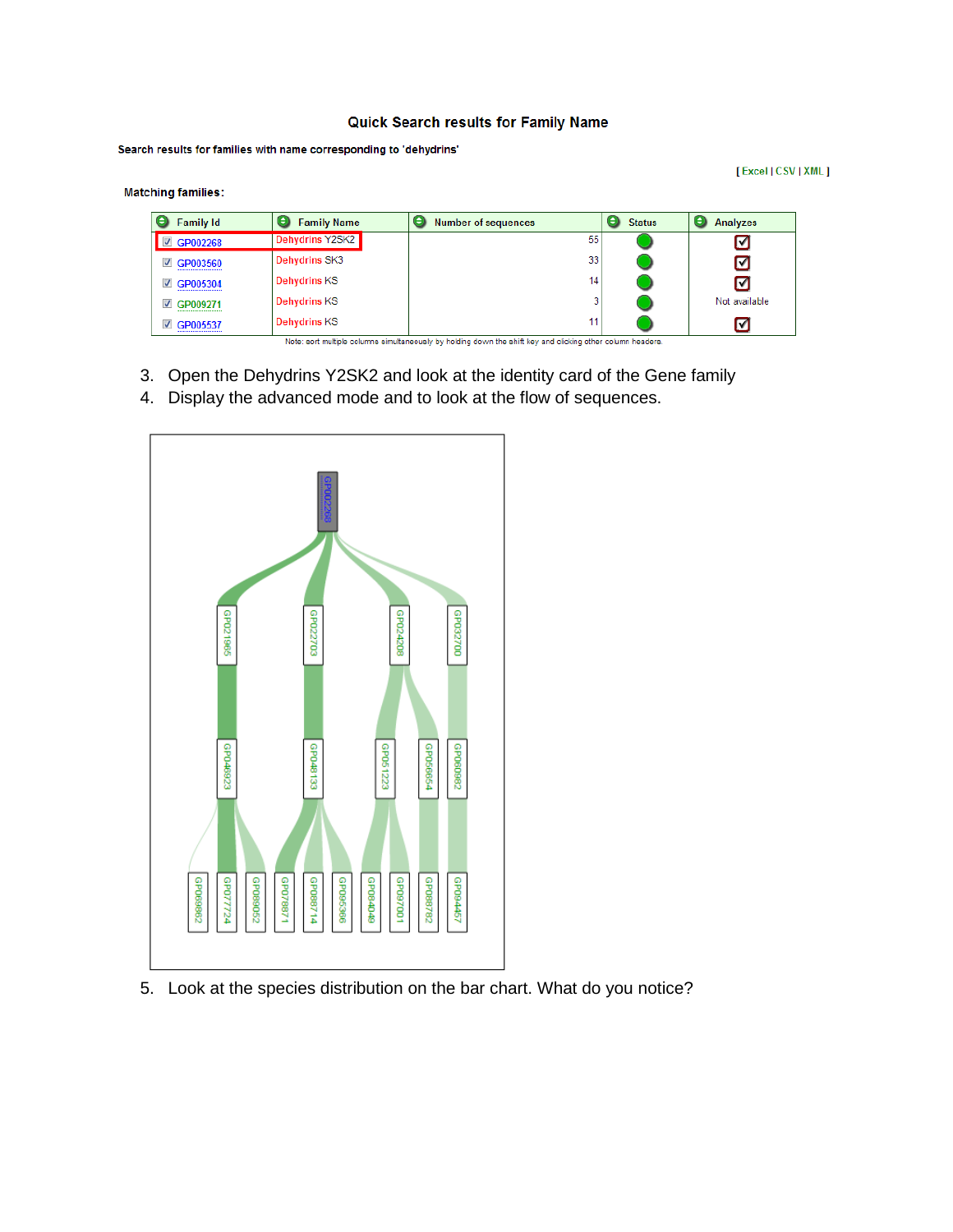#### **Quick Search results for Family Name**

Search results for families with name corresponding to 'dehydrins'

**Matching families:** 

[Excel | CSV | XML ]

| <b>Family Id</b>  | е<br><b>Family Name</b> | е<br><b>Number of sequences</b> | ٠<br><b>Status</b> | e<br><b>Analyzes</b> |
|-------------------|-------------------------|---------------------------------|--------------------|----------------------|
| <b>■ GP002268</b> | <b>Dehydrins Y2SK2</b>  | 55                              |                    | ⋓                    |
| <b>☑ GP003560</b> | <b>Dehydrins SK3</b>    | 33                              |                    | ☑                    |
| <b>■ GP005304</b> | <b>Dehydrins KS</b>     | 14                              |                    | M                    |
| <b>☑ GP009271</b> | <b>Dehydrins KS</b>     | 3                               |                    | Not available        |
| ⊽<br>GP005537     | <b>Dehydrins KS</b>     | 11                              |                    | M                    |

- 3. Open the Dehydrins Y2SK2 and look at the identity card of the Gene family
- 4. Display the advanced mode and to look at the flow of sequences.



5. Look at the species distribution on the bar chart. What do you notice?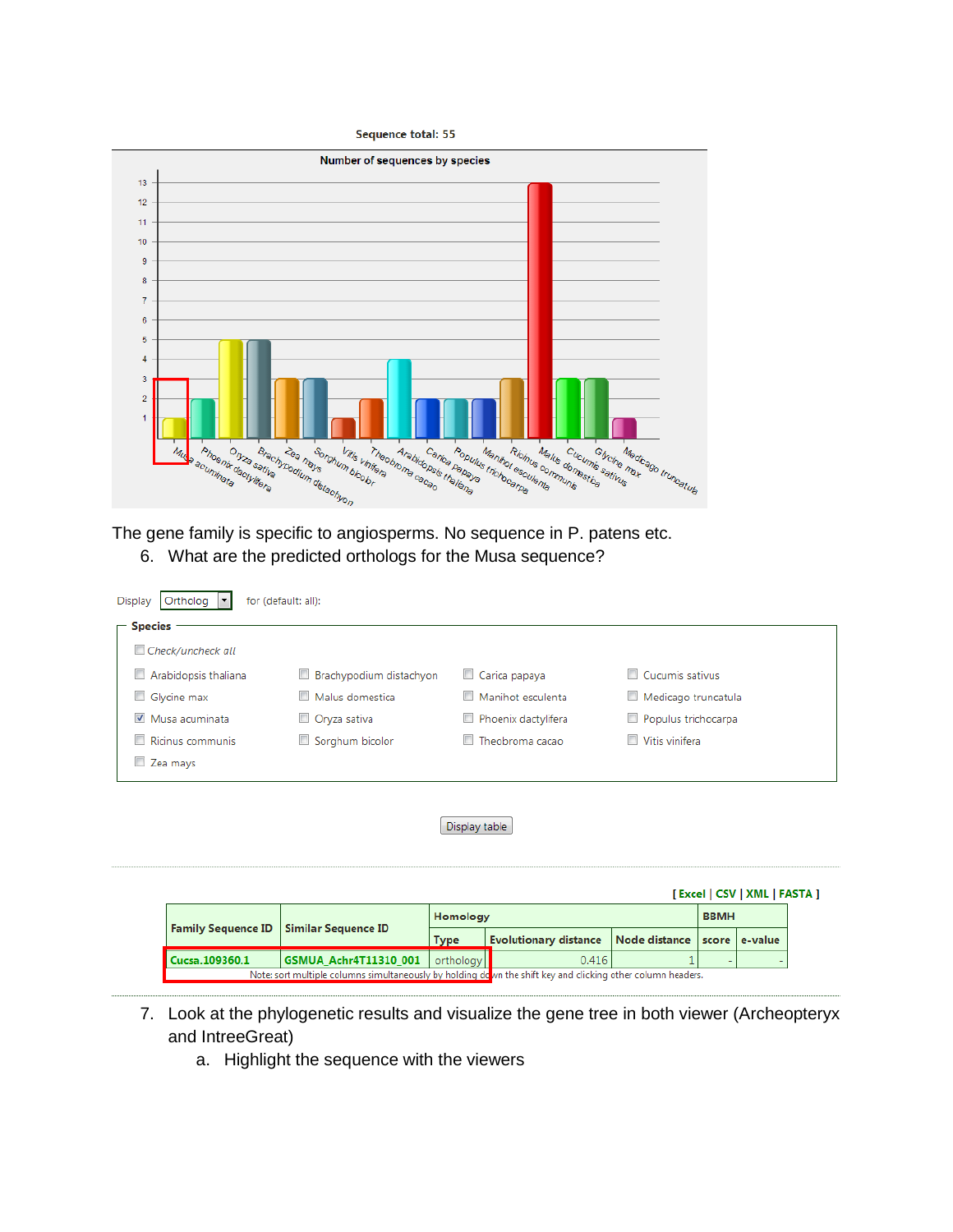Sequence total: 55



The gene family is specific to angiosperms. No sequence in P. patens etc. 6. What are the predicted orthologs for the Musa sequence?

| Ortholog<br>Display<br>for (default: all):<br><b>Species</b> |                         |                     |                     |  |  |  |  |
|--------------------------------------------------------------|-------------------------|---------------------|---------------------|--|--|--|--|
| $\Box$ Check/uncheck all                                     |                         |                     |                     |  |  |  |  |
| Arabidopsis thaliana                                         | Brachypodium distachyon | Carica papaya       | Cucumis sativus     |  |  |  |  |
| Glycine max                                                  | Malus domestica         | Manihot esculenta   | Medicago truncatula |  |  |  |  |
| Musa acuminata                                               | Oryza sativa            | Phoenix dactylifera | Populus trichocarpa |  |  |  |  |
| Ricinus communis                                             | Sorghum bicolor         | Theobroma cacao     | Vitis vinifera      |  |  |  |  |
| Zea mays                                                     |                         |                     |                     |  |  |  |  |
|                                                              |                         |                     |                     |  |  |  |  |

Display table

|                                                                                                             |                                                 |             |                              |                     |  | [Excel   CSV   XML   FASTA ] |
|-------------------------------------------------------------------------------------------------------------|-------------------------------------------------|-------------|------------------------------|---------------------|--|------------------------------|
|                                                                                                             |                                                 | Homology    |                              | <b>BBMH</b>         |  |                              |
|                                                                                                             | <b>Family Sequence ID   Similar Sequence ID</b> | <b>Type</b> | <b>Evolutionary distance</b> | Node distance score |  | e-value                      |
| Cucsa.109360.1                                                                                              | <b>GSMUA_Achr4T11310_001</b>                    | orthology   | 0.416                        |                     |  |                              |
| Note: sort multiple columns simultaneously by holding down the shift key and clicking other column headers. |                                                 |             |                              |                     |  |                              |

- 7. Look at the phylogenetic results and visualize the gene tree in both viewer (Archeopteryx and IntreeGreat)
	- a. Highlight the sequence with the viewers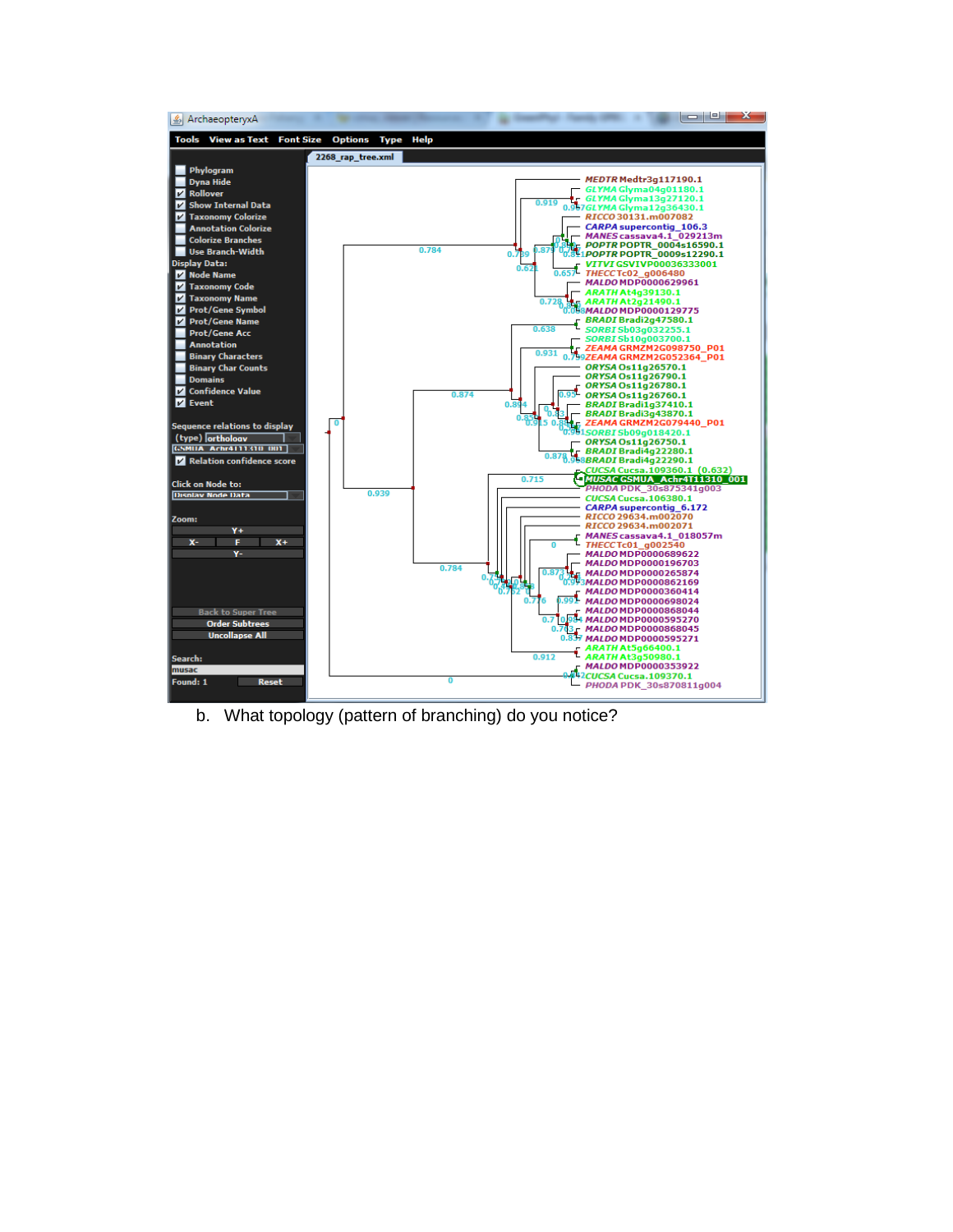

b. What topology (pattern of branching) do you notice?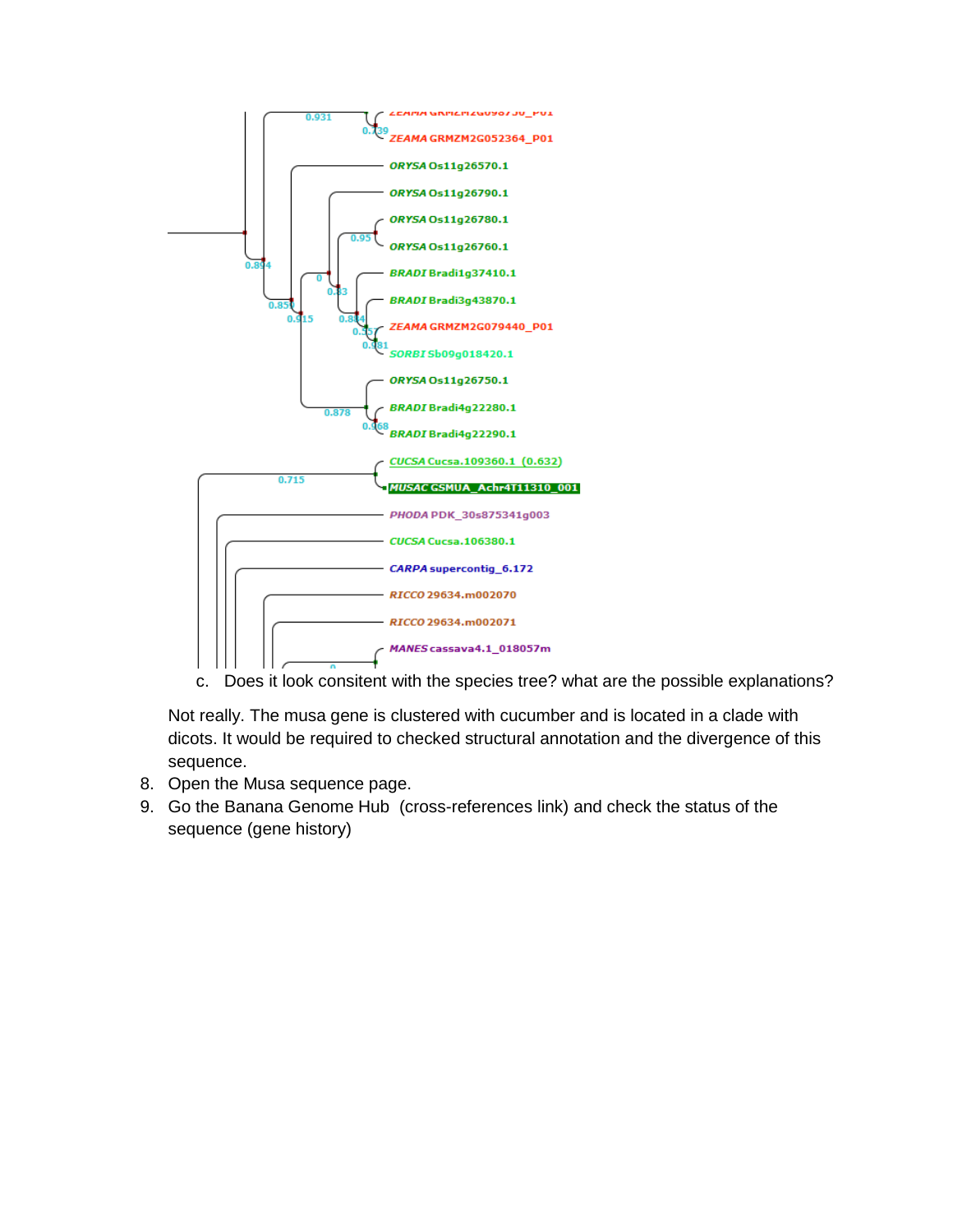

c. Does it look consitent with the species tree? what are the possible explanations?

Not really. The musa gene is clustered with cucumber and is located in a clade with dicots. It would be required to checked structural annotation and the divergence of this sequence.

- 8. Open the Musa sequence page.
- 9. Go the Banana Genome Hub (cross-references link) and check the status of the sequence (gene history)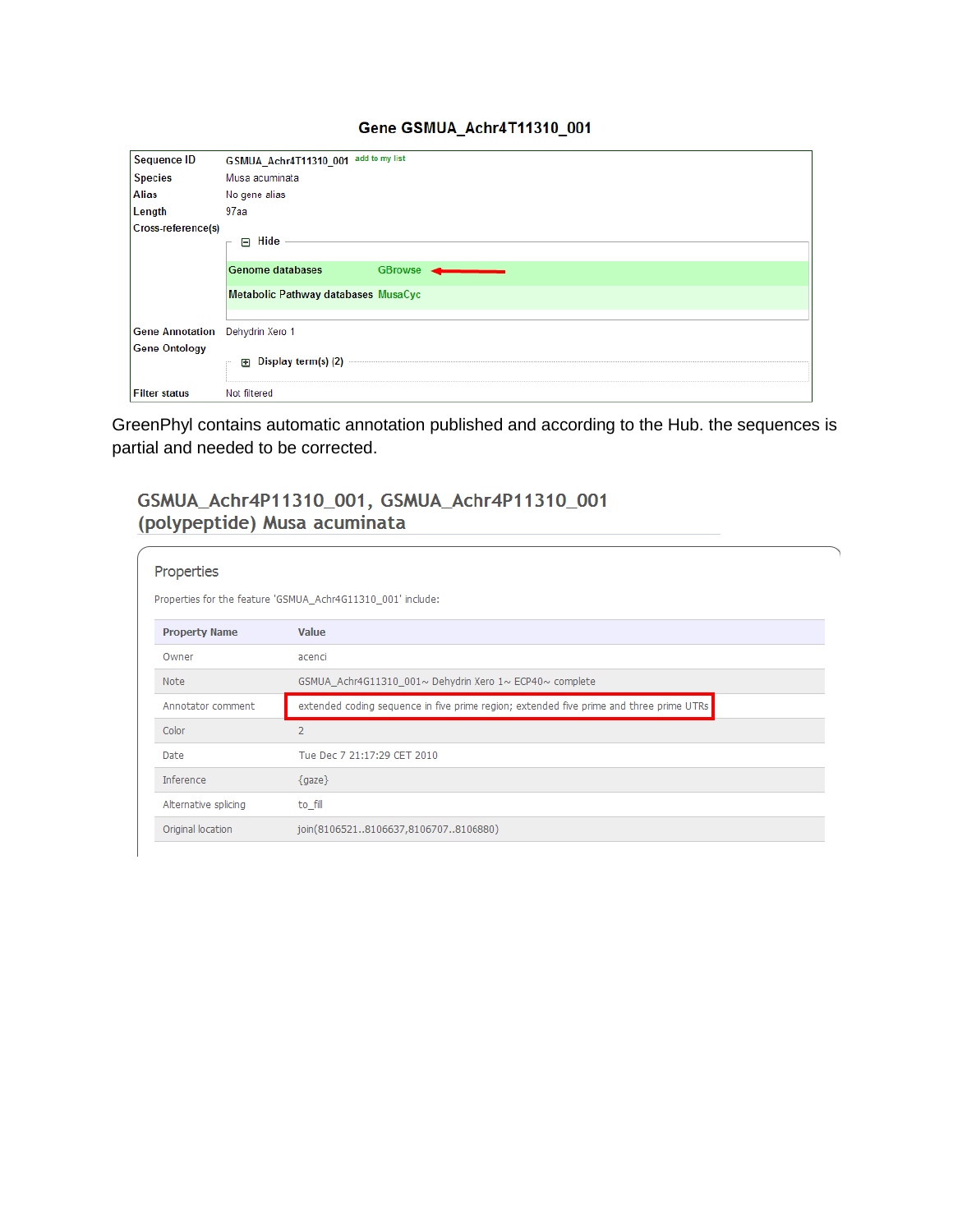## Gene GSMUA\_Achr4T11310\_001

| <b>Sequence ID</b>              | add to my list<br>GSMUA_Achr4T11310_001   |
|---------------------------------|-------------------------------------------|
| <b>Species</b>                  | Musa acuminata                            |
| <b>Alias</b>                    | No gene alias                             |
| Length                          | 97 <sub>aa</sub>                          |
| Cross-reference(s)              |                                           |
|                                 | $\boxminus$ Hide                          |
|                                 | <b>Genome databases</b><br><b>GBrowse</b> |
|                                 | Metabolic Pathway databases MusaCyc       |
|                                 |                                           |
| Gene Annotation Dehydrin Xero 1 |                                           |
| <b>Gene Ontology</b>            | <b>ED</b> Display term(s) (2)             |
| <b>Filter status</b>            | Not filtered                              |

GreenPhyl contains automatic annotation published and according to the Hub. the sequences is partial and needed to be corrected.

# GSMUA\_Achr4P11310\_001, GSMUA\_Achr4P11310\_001 (polypeptide) Musa acuminata

| Properties                                                                                                   |  |  |  |  |  |
|--------------------------------------------------------------------------------------------------------------|--|--|--|--|--|
| Properties for the feature 'GSMUA_Achr4G11310_001' include:                                                  |  |  |  |  |  |
| Value<br><b>Property Name</b>                                                                                |  |  |  |  |  |
| Owner<br>acenci                                                                                              |  |  |  |  |  |
| GSMUA Achr4G11310 001~ Dehydrin Xero 1~ ECP40~ complete<br>Note                                              |  |  |  |  |  |
| extended coding sequence in five prime region; extended five prime and three prime UTRs<br>Annotator comment |  |  |  |  |  |
| Color<br>$\overline{2}$                                                                                      |  |  |  |  |  |
| Tue Dec 7 21:17:29 CET 2010<br>Date                                                                          |  |  |  |  |  |
| Inference<br>${qaze}$                                                                                        |  |  |  |  |  |
| Alternative splicing<br>to fill                                                                              |  |  |  |  |  |
| join(81065218106637,81067078106880)<br>Original location                                                     |  |  |  |  |  |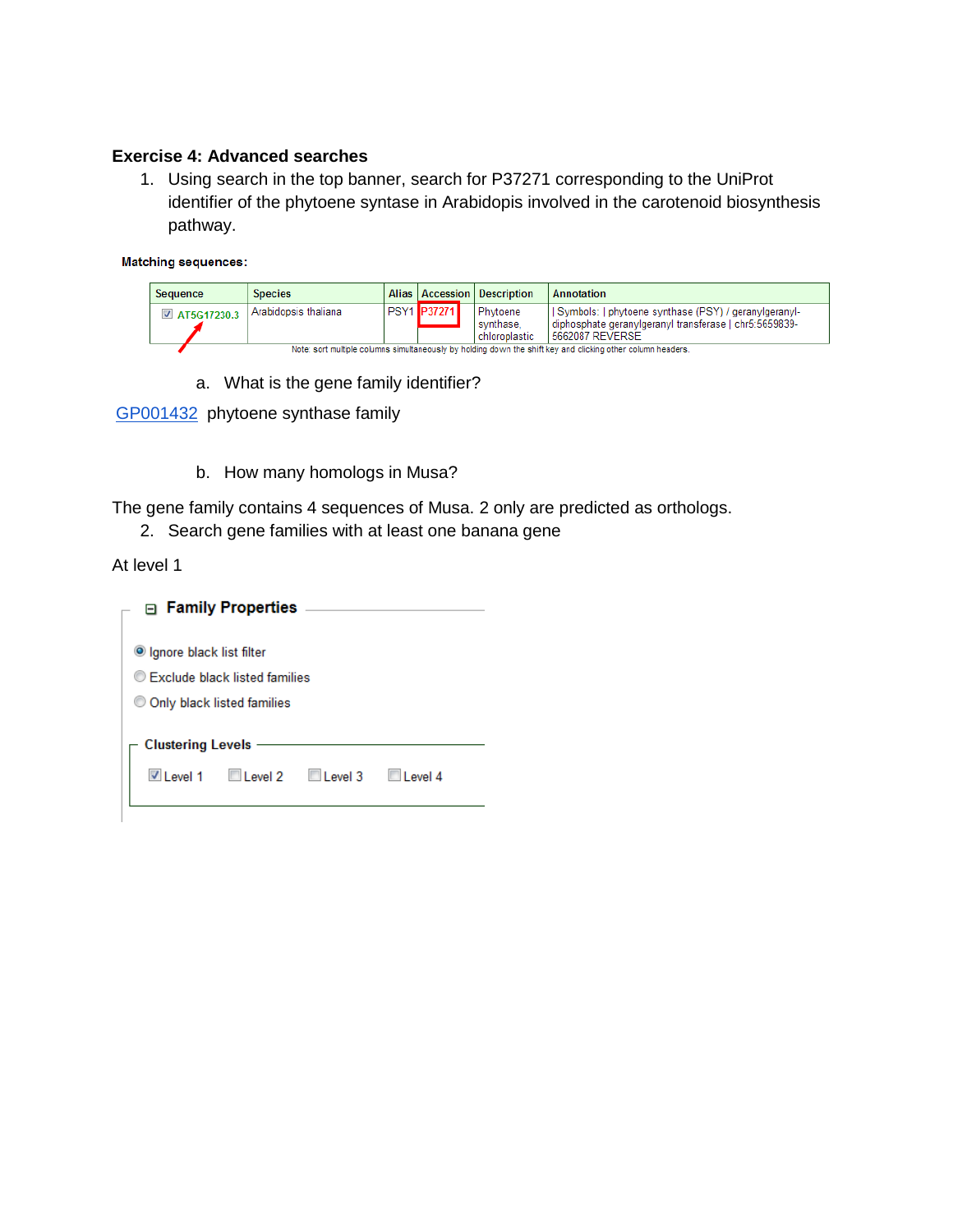## **Exercise 4: Advanced searches**

1. Using search in the top banner, search for P37271 corresponding to the UniProt identifier of the phytoene syntase in Arabidopis involved in the carotenoid biosynthesis pathway.

#### **Matching sequences:**

| Sequence      | <b>Species</b>                                                                                              |  |                    |  | <b>Alias   Accession   Description</b>   | Annotation                                                                                                                         |  |  |
|---------------|-------------------------------------------------------------------------------------------------------------|--|--------------------|--|------------------------------------------|------------------------------------------------------------------------------------------------------------------------------------|--|--|
| ■ AT5G17230.3 | Arabidopsis thaliana                                                                                        |  | <b>PSY1 P37271</b> |  | Phytoene<br>I synthase.<br>chloroplastic | Symbols:   phytoene synthase (PSY) / geranylgeranyl-<br>diphosphate geranylgeranyl transferase   chr5:5659839-<br>15662087 REVERSE |  |  |
|               | Note: sort multiple columns simultaneously by holding down the shift key and clicking other column headers. |  |                    |  |                                          |                                                                                                                                    |  |  |

a. What is the gene family identifier?

[GP001432](http://www.greenphyl.org/cgi-bin/family.cgi?p=id&family_id=1432) phytoene synthase family

b. How many homologs in Musa?

The gene family contains 4 sequences of Musa. 2 only are predicted as orthologs.

2. Search gene families with at least one banana gene

At level 1

|                                               | □ Family Properties |                |            |  |
|-----------------------------------------------|---------------------|----------------|------------|--|
| ● Ignore black list filter                    |                     |                |            |  |
| C Exclude black listed families               |                     |                |            |  |
| © Only black listed families                  |                     |                |            |  |
| <b>Clustering Levels</b><br>$\sqrt{}$ Level 1 | $\Box$ Level 2      | $\Box$ Level 3 | l I evel 4 |  |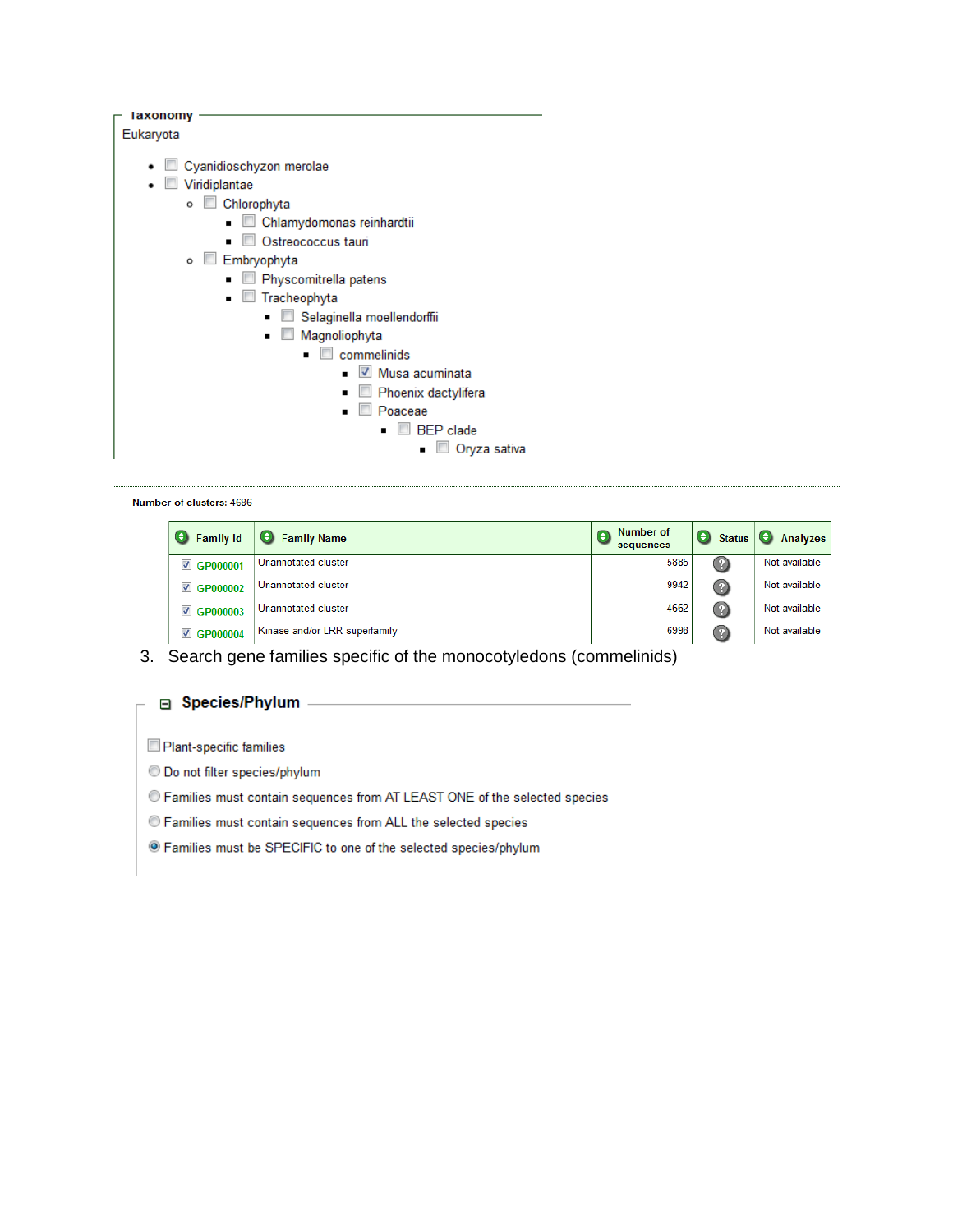| laxonomy                                |
|-----------------------------------------|
| Eukaryota                               |
|                                         |
| Cyanidioschyzon merolae                 |
| Viridiplantae                           |
| $\circ$ $\Box$<br>Chlorophyta           |
| Chlamydomonas reinhardtii               |
| Ostreococcus tauri                      |
| Embryophyta<br>$\circ$                  |
| Physcomitrella patens<br>$\blacksquare$ |
| Tracheophyta<br>$\blacksquare$          |
| Selaginella moellendorffii              |
| Magnoliophyta                           |
| $\Box$ commelinids                      |
| $\vee$ Musa acuminata                   |
| Phoenix dactylifera                     |
| Poaceae                                 |
| <b>BEP</b> clade                        |
| Oryza sativa                            |
|                                         |

| Number of clusters: 4686         |                               |                             |                    |               |  |
|----------------------------------|-------------------------------|-----------------------------|--------------------|---------------|--|
| <b>C</b> Family Id               | Θ<br><b>Family Name</b>       | Number of<br>Θ<br>sequences | Θ<br><b>Status</b> | Θ<br>Analyzes |  |
| <b>☑ GP000001</b>                | Unannotated cluster           | 5885                        | Ø                  | Not available |  |
| <b>■ GP000002</b>                | Unannotated cluster           | 9942                        | Ø                  | Not available |  |
| <b>▽ GP000003</b>                | Unannotated cluster           | 4662                        | 0                  | Not available |  |
| $\blacktriangledown$<br>GP000004 | Kinase and/or LRR superfamily | 6998                        | $\circledR$        | Not available |  |

3. Search gene families specific of the monocotyledons (commelinids)

and the control of the control of

#### □ Species/Phylum -

Plant-specific families

C Do not filter species/phylum

C Families must contain sequences from AT LEAST ONE of the selected species

© Families must contain sequences from ALL the selected species

· Families must be SPECIFIC to one of the selected species/phylum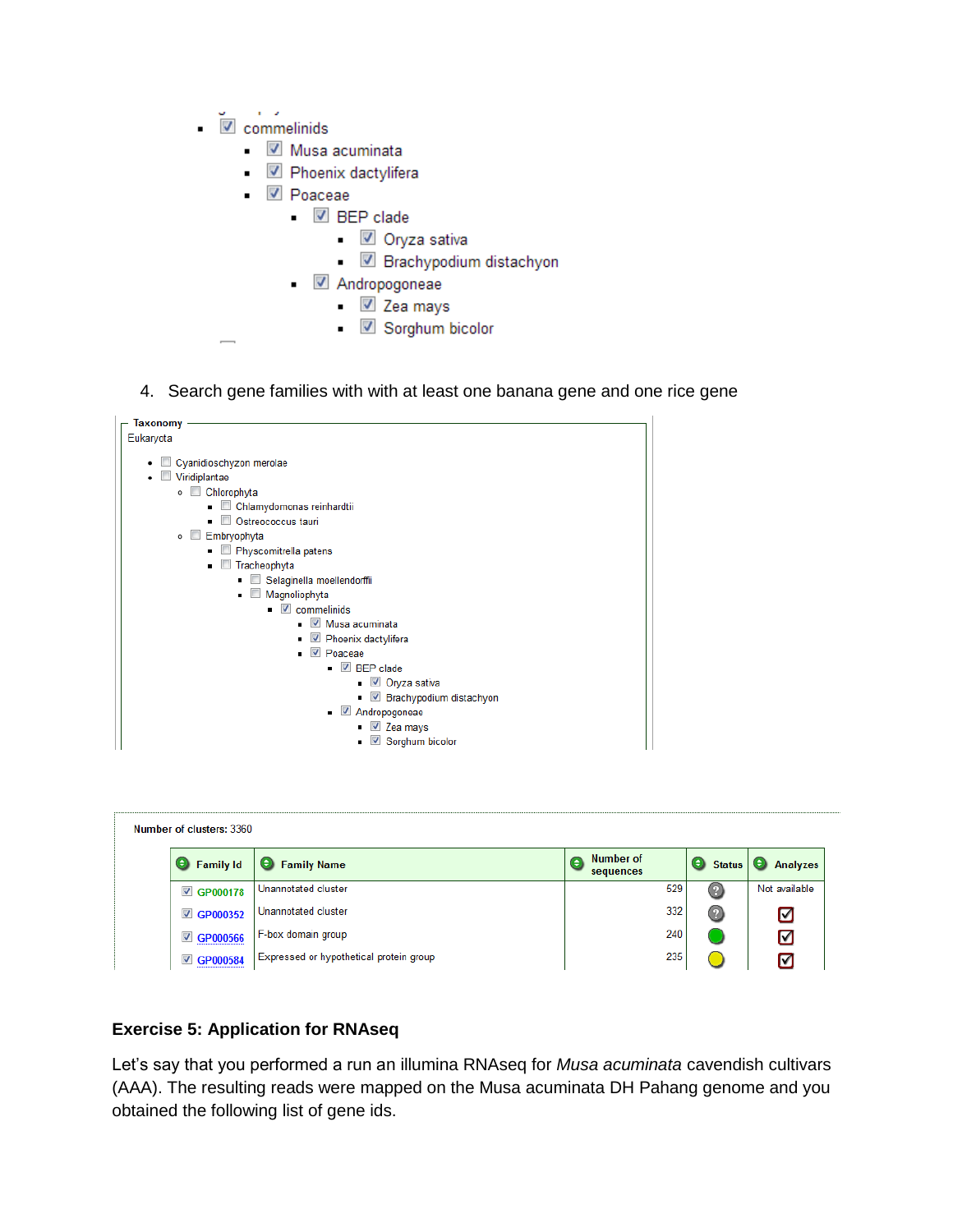- $\mathbf{r} = \mathbf{r}$  $\sqrt{ }$  commelinids
	- Musa acuminata
	- 2 Phoenix dactylifera
	- $\blacksquare$  Poaceae
		- $\blacksquare$  BEP clade
			- V Oryza sativa
			- Brachypodium distachyon
		- Andropogoneae  $\blacksquare$ 
			- V Zea mays
			- V Sorghum bicolor
- 4. Search gene families with with at least one banana gene and one rice gene



| Number of clusters: 3360         |                                         |                        |                    |               |
|----------------------------------|-----------------------------------------|------------------------|--------------------|---------------|
| Θ<br>Family Id                   | <b>C</b> Family Name                    | Number of<br>sequences | Θ<br><b>Status</b> | Θ<br>Analyzes |
| <b>■ GP000178</b>                | Unannotated cluster                     | 529                    | (?                 | Not available |
| <b>■ GP000352</b>                | Unannotated cluster                     | 332                    | $^{\circ}$         | ☑             |
| GP000566<br>$\blacktriangledown$ | F-box domain group                      | 240                    |                    | ☑             |
| GP000584<br>$\blacktriangledown$ | Expressed or hypothetical protein group | 235                    |                    | Iм            |

#### **Exercise 5: Application for RNAseq**

Let's say that you performed a run an illumina RNAseq for Musa acuminata cavendish cultivars (AAA). The resulting reads were mapped on the Musa acuminata DH Pahang genome and you obtained the following list of gene ids.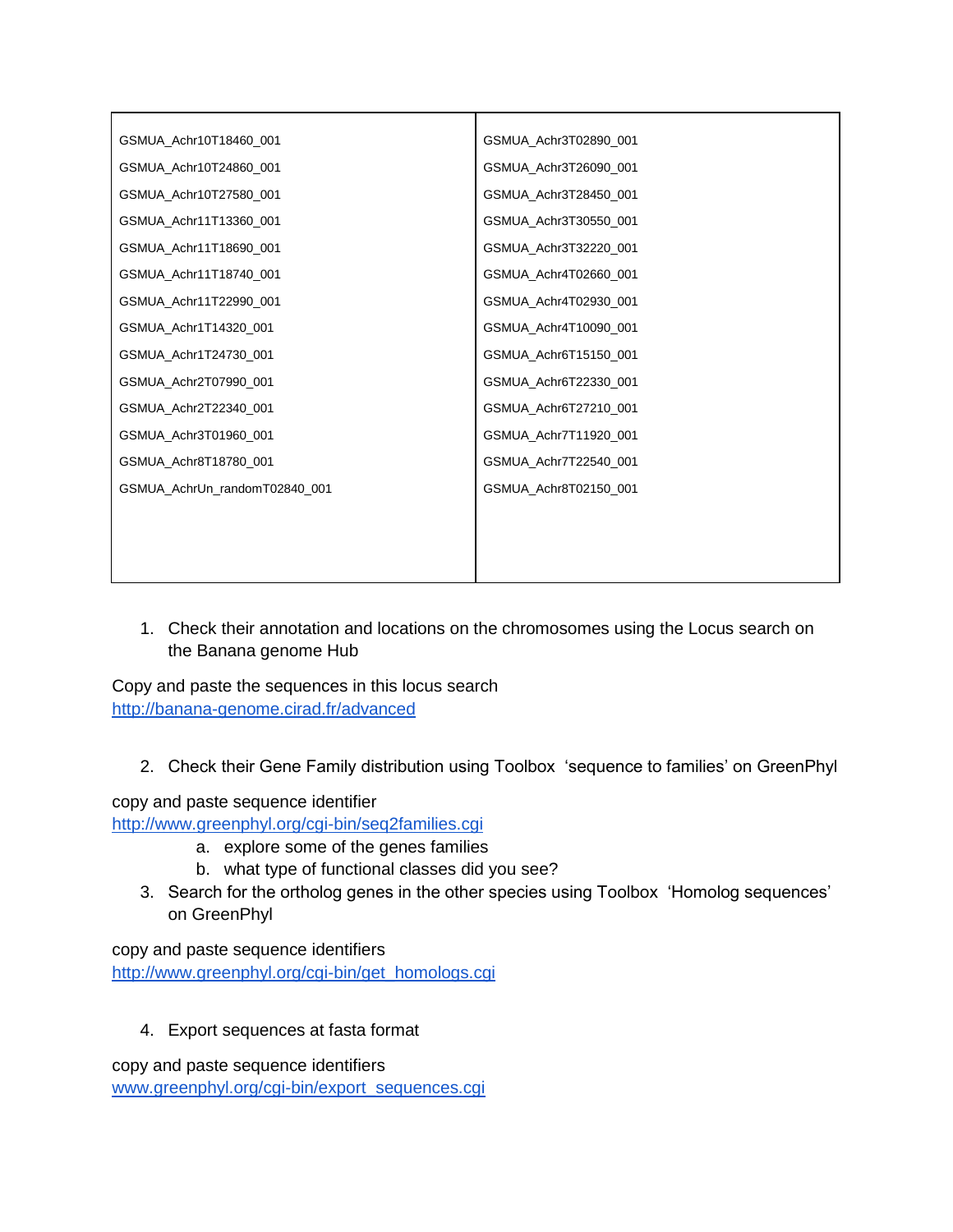| GSMUA_Achr10T18460_001        | GSMUA_Achr3T02890_001 |
|-------------------------------|-----------------------|
| GSMUA_Achr10T24860_001        | GSMUA_Achr3T26090_001 |
| GSMUA_Achr10T27580_001        | GSMUA_Achr3T28450_001 |
| GSMUA_Achr11T13360_001        | GSMUA_Achr3T30550_001 |
| GSMUA_Achr11T18690_001        | GSMUA_Achr3T32220_001 |
| GSMUA_Achr11T18740_001        | GSMUA_Achr4T02660_001 |
| GSMUA Achr11T22990 001        | GSMUA Achr4T02930 001 |
| GSMUA_Achr1T14320_001         | GSMUA_Achr4T10090_001 |
| GSMUA_Achr1T24730_001         | GSMUA_Achr6T15150_001 |
| GSMUA_Achr2T07990_001         | GSMUA_Achr6T22330_001 |
| GSMUA_Achr2T22340_001         | GSMUA_Achr6T27210_001 |
| GSMUA Achr3T01960 001         | GSMUA Achr7T11920 001 |
| GSMUA_Achr8T18780_001         | GSMUA Achr7T22540 001 |
| GSMUA_AchrUn_randomT02840_001 | GSMUA_Achr8T02150_001 |
|                               |                       |
|                               |                       |
|                               |                       |

1. Check their annotation and locations on the chromosomes using the Locus search on the Banana genome Hub

Copy and paste the sequences in this locus search <http://banana-genome.cirad.fr/advanced>

2. Check their Gene Family distribution using Toolbox 'sequence to families' on GreenPhyl

copy and paste sequence identifier

<http://www.greenphyl.org/cgi-bin/seq2families.cgi>

- a. explore some of the genes families
- b. what type of functional classes did you see?
- 3. Search for the ortholog genes in the other species using Toolbox 'Homolog sequences' on GreenPhyl

copy and paste sequence identifiers [http://www.greenphyl.org/cgi-bin/get\\_homologs.cgi](http://www.greenphyl.org/cgi-bin/get_homologs.cgi)

4. Export sequences at fasta format

copy and paste sequence identifiers [www.greenphyl.org/cgi-bin/export\\_sequences.cgi](http://www.greenphyl.org/cgi-bin/export_sequences.cgi)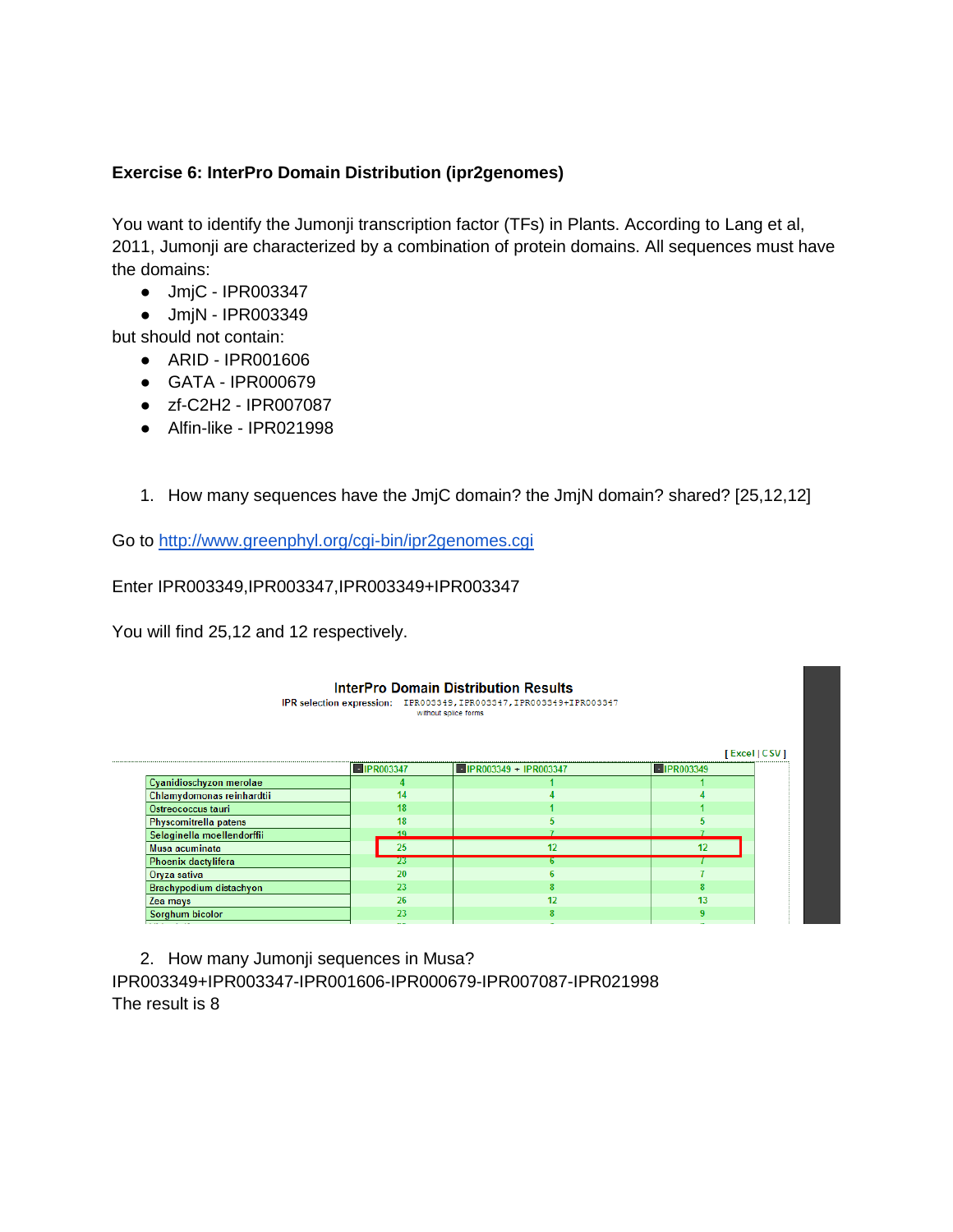## **Exercise 6: InterPro Domain Distribution (ipr2genomes)**

You want to identify the Jumonji transcription factor (TFs) in Plants. According to Lang et al, 2011, Jumonji are characterized by a combination of protein domains. All sequences must have the domains:

- JmjC [IPR003347](http://www.ebi.ac.uk/interpro/DisplayIproEntry?ac=IPR003347)
- JmjN [IPR003349](http://www.ebi.ac.uk/interpro/DisplayIproEntry?ac=IPR003349)

but should not contain:

- ARID IPR001606
- GATA IPR000679
- zf-C2H2 [IPR007087](http://www.ebi.ac.uk/interpro/DisplayIproEntry?ac=IPR007087)
- Alfin-like IPR021998
- 1. How many sequences have the JmjC domain? the JmjN domain? shared? [25,12,12]

Go to<http://www.greenphyl.org/cgi-bin/ipr2genomes.cgi>

Enter IPR003349,IPR003347,IPR003349+IPR003347

You will find 25,12 and 12 respectively.

|                            |                   | <b>InterPro Domain Distribution Results</b><br>IPR selection expression: IPR003349, IPR003347, IPR003349+IPR003347<br>without splice forms |                                         |
|----------------------------|-------------------|--------------------------------------------------------------------------------------------------------------------------------------------|-----------------------------------------|
|                            | <b>EIPR003347</b> | $\blacksquare$ IPR003349 + IPR003347                                                                                                       | [Excel CSV]<br>$\blacksquare$ IPR003349 |
| Cyanidioschyzon merolae    |                   |                                                                                                                                            |                                         |
| Chlamydomonas reinhardtii  | 14                |                                                                                                                                            |                                         |
| Ostreococcus tauri         | 18                |                                                                                                                                            |                                         |
| Physcomitrella patens      | 18                |                                                                                                                                            |                                         |
| Selaginella moellendorffii | 19                |                                                                                                                                            |                                         |
| Musa acuminata             | 25                | 12                                                                                                                                         | 12                                      |
| Phoenix dactylifera        | 23                | ь.                                                                                                                                         |                                         |
| Oryza sativa               | 20                |                                                                                                                                            |                                         |
| Brachypodium distachyon    | 23                |                                                                                                                                            |                                         |
| Zea mays                   | 26                | 12                                                                                                                                         | 13                                      |
| Sorghum bicolor            | 23                |                                                                                                                                            | 9                                       |
|                            | --                |                                                                                                                                            |                                         |

2. How many Jumonji sequences in Musa? IPR003349+IPR003347-IPR001606-IPR000679-IPR007087-IPR021998 The result is 8